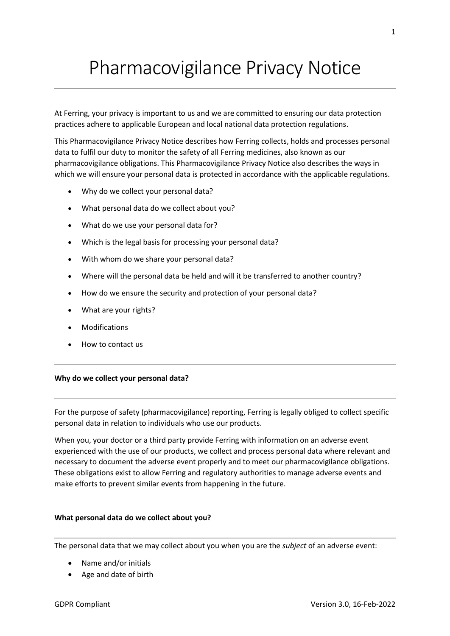# Pharmacovigilance Privacy Notice

At Ferring, your privacy is important to us and we are committed to ensuring our data protection practices adhere to applicable European and local national data protection regulations.

This Pharmacovigilance Privacy Notice describes how Ferring collects, holds and processes personal data to fulfil our duty to monitor the safety of all Ferring medicines, also known as our pharmacovigilance obligations. This Pharmacovigilance Privacy Notice also describes the ways in which we will ensure your personal data is protected in accordance with the applicable regulations.

- Why do we collect your personal data?
- What personal data do we collect about you?
- What do we use your personal data for?
- Which is the legal basis for processing your personal data?
- With whom do we share your personal data?
- Where will the personal data be held and will it be transferred to another country?
- How do we ensure the security and protection of your personal data?
- What are your rights?
- Modifications
- How to contact us

## **Why do we collect your personal data?**

For the purpose of safety (pharmacovigilance) reporting, Ferring is legally obliged to collect specific personal data in relation to individuals who use our products.

When you, your doctor or a third party provide Ferring with information on an adverse event experienced with the use of our products, we collect and process personal data where relevant and necessary to document the adverse event properly and to meet our pharmacovigilance obligations. These obligations exist to allow Ferring and regulatory authorities to manage adverse events and make efforts to prevent similar events from happening in the future.

### **What personal data do we collect about you?**

The personal data that we may collect about you when you are the *subject* of an adverse event:

- Name and/or initials
- Age and date of birth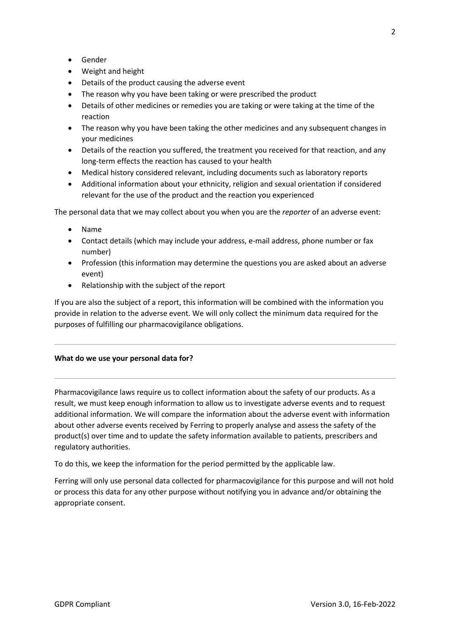- Gender
- Weight and height
- Details of the product causing the adverse event
- The reason why you have been taking or were prescribed the product
- Details of other medicines or remedies you are taking or were taking at the time of the reaction
- The reason why you have been taking the other medicines and any subsequent changes in your medicines
- Details of the reaction you suffered, the treatment you received for that reaction, and any long-term effects the reaction has caused to your health
- Medical history considered relevant, including documents such as laboratory reports
- Additional information about your ethnicity, religion and sexual orientation if considered relevant for the use of the product and the reaction you experienced

The personal data that we may collect about you when you are the *reporter* of an adverse event:

- Name
- Contact details (which may include your address, e-mail address, phone number or fax number)
- Profession (this information may determine the questions you are asked about an adverse event)
- Relationship with the subject of the report

If you are also the subject of a report, this information will be combined with the information you provide in relation to the adverse event. We will only collect the minimum data required for the purposes of fulfilling our pharmacovigilance obligations.

## **What do we use your personal data for?**

Pharmacovigilance laws require us to collect information about the safety of our products. As a result, we must keep enough information to allow us to investigate adverse events and to request additional information. We will compare the information about the adverse event with information about other adverse events received by Ferring to properly analyse and assess the safety of the product(s) over time and to update the safety information available to patients, prescribers and regulatory authorities.

To do this, we keep the information for the period permitted by the applicable law.

Ferring will only use personal data collected for pharmacovigilance for this purpose and will not hold or process this data for any other purpose without notifying you in advance and/or obtaining the appropriate consent.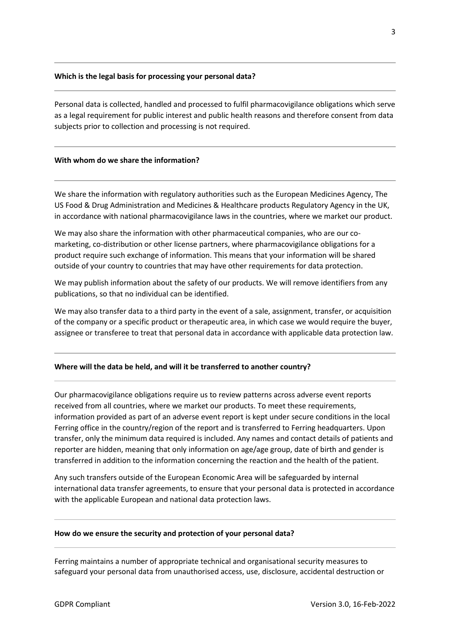## **Which is the legal basis for processing your personal data?**

Personal data is collected, handled and processed to fulfil pharmacovigilance obligations which serve as a legal requirement for public interest and public health reasons and therefore consent from data subjects prior to collection and processing is not required.

## **With whom do we share the information?**

We share the information with regulatory authorities such as the European Medicines Agency, The US Food & Drug Administration and Medicines & Healthcare products Regulatory Agency in the UK, in accordance with national pharmacovigilance laws in the countries, where we market our product.

We may also share the information with other pharmaceutical companies, who are our comarketing, co-distribution or other license partners, where pharmacovigilance obligations for a product require such exchange of information. This means that your information will be shared outside of your country to countries that may have other requirements for data protection.

We may publish information about the safety of our products. We will remove identifiers from any publications, so that no individual can be identified.

We may also transfer data to a third party in the event of a sale, assignment, transfer, or acquisition of the company or a specific product or therapeutic area, in which case we would require the buyer, assignee or transferee to treat that personal data in accordance with applicable data protection law.

### **Where will the data be held, and will it be transferred to another country?**

Our pharmacovigilance obligations require us to review patterns across adverse event reports received from all countries, where we market our products. To meet these requirements, information provided as part of an adverse event report is kept under secure conditions in the local Ferring office in the country/region of the report and is transferred to Ferring headquarters. Upon transfer, only the minimum data required is included. Any names and contact details of patients and reporter are hidden, meaning that only information on age/age group, date of birth and gender is transferred in addition to the information concerning the reaction and the health of the patient.

Any such transfers outside of the European Economic Area will be safeguarded by internal international data transfer agreements, to ensure that your personal data is protected in accordance with the applicable European and national data protection laws.

### **How do we ensure the security and protection of your personal data?**

Ferring maintains a number of appropriate technical and organisational security measures to safeguard your personal data from unauthorised access, use, disclosure, accidental destruction or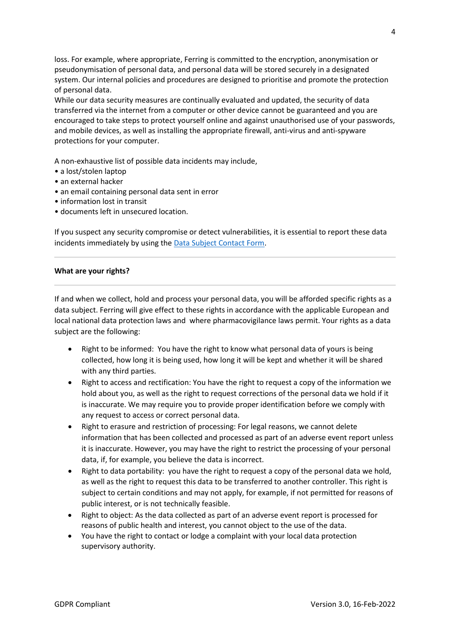loss. For example, where appropriate, Ferring is committed to the encryption, anonymisation or pseudonymisation of personal data, and personal data will be stored securely in a designated system. Our internal policies and procedures are designed to prioritise and promote the protection of personal data.

While our data security measures are continually evaluated and updated, the security of data transferred via the internet from a computer or other device cannot be guaranteed and you are encouraged to take steps to protect yourself online and against unauthorised use of your passwords, and mobile devices, as well as installing the appropriate firewall, anti-virus and anti-spyware protections for your computer.

A non-exhaustive list of possible data incidents may include,

- a lost/stolen laptop
- an external hacker
- an email containing personal data sent in error
- information lost in transit
- documents left in unsecured location.

If you suspect any security compromise or detect vulnerabilities, it is essential to report these data incidents immediately by using the [Data Subject Contact Form.](https://ferring.ethicspoint.eu/custom/ferring/forms/data/form_data.asp)

### **What are your rights?**

If and when we collect, hold and process your personal data, you will be afforded specific rights as a data subject. Ferring will give effect to these rights in accordance with the applicable European and local national data protection laws and where pharmacovigilance laws permit. Your rights as a data subject are the following:

- Right to be informed: You have the right to know what personal data of yours is being collected, how long it is being used, how long it will be kept and whether it will be shared with any third parties.
- Right to access and rectification: You have the right to request a copy of the information we hold about you, as well as the right to request corrections of the personal data we hold if it is inaccurate. We may require you to provide proper identification before we comply with any request to access or correct personal data.
- Right to erasure and restriction of processing: For legal reasons, we cannot delete information that has been collected and processed as part of an adverse event report unless it is inaccurate. However, you may have the right to restrict the processing of your personal data, if, for example, you believe the data is incorrect.
- Right to data portability: you have the right to request a copy of the personal data we hold, as well as the right to request this data to be transferred to another controller. This right is subject to certain conditions and may not apply, for example, if not permitted for reasons of public interest, or is not technically feasible.
- Right to object: As the data collected as part of an adverse event report is processed for reasons of public health and interest, you cannot object to the use of the data.
- You have the right to contact or lodge a complaint with your local data protection supervisory authority.